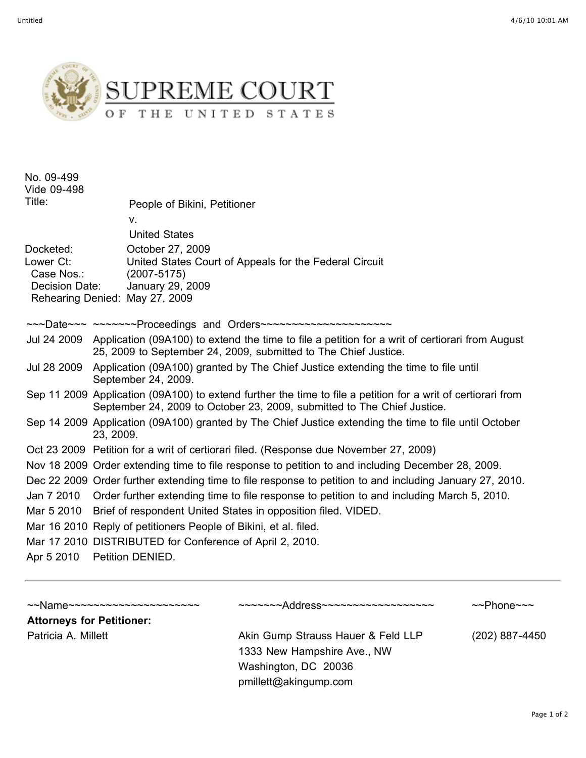

| No. 09-499<br>Vide 09-498<br>Title:                    | People of Bikini, Petitioner<br>$V_{\cdot}$<br><b>United States</b>                                                                                                                     |
|--------------------------------------------------------|-----------------------------------------------------------------------------------------------------------------------------------------------------------------------------------------|
| Docketed:<br>Lower Ct:<br>Case Nos.:<br>Decision Date: | October 27, 2009<br>United States Court of Appeals for the Federal Circuit<br>$(2007 - 5175)$<br>January 29, 2009<br>Rehearing Denied: May 27, 2009                                     |
|                                                        | ~~~Date~~~ ~~~~~~~Proceedings and Orders~~~~~~~~~~~~~~~~~~~~~~                                                                                                                          |
|                                                        | Jul 24 2009 Application (09A100) to extend the time to file a petition for a writ of certiorari from August<br>25, 2009 to September 24, 2009, submitted to The Chief Justice.          |
| Jul 28 2009                                            | Application (09A100) granted by The Chief Justice extending the time to file until<br>September 24, 2009.                                                                               |
|                                                        | Sep 11 2009 Application (09A100) to extend further the time to file a petition for a writ of certiorari from<br>September 24, 2009 to October 23, 2009, submitted to The Chief Justice. |
|                                                        | Sep 14 2009 Application (09A100) granted by The Chief Justice extending the time to file until October<br>23, 2009.                                                                     |
|                                                        | Oct 23 2009 Petition for a writ of certiorari filed. (Response due November 27, 2009)                                                                                                   |
|                                                        | Nov 18 2009 Order extending time to file response to petition to and including December 28, 2009.                                                                                       |
|                                                        | Dec 22 2009 Order further extending time to file response to petition to and including January 27, 2010.                                                                                |
|                                                        | Jan 7 2010 Order further extending time to file response to petition to and including March 5, 2010.                                                                                    |
| Mar 5 2010                                             | Brief of respondent United States in opposition filed. VIDED.                                                                                                                           |
|                                                        | Mar 16 2010 Reply of petitioners People of Bikini, et al. filed.                                                                                                                        |
|                                                        | Mar 17 2010 DISTRIBUTED for Conference of April 2, 2010.                                                                                                                                |
|                                                        | Apr 5 2010 Petition DENIED.                                                                                                                                                             |
|                                                        |                                                                                                                                                                                         |

~~Name~~~~~~~~~~~~~~~~~~~~~ ~~~~~~~Address~~~~~~~~~~~~~~~~~~ ~~Phone~~~ **Attorneys for Petitioner:** Patricia A. Millett **Akin Gump Strauss Hauer & Feld LLP** (202) 887-4450 1333 New Hampshire Ave., NW Washington, DC 20036 pmillett@akingump.com